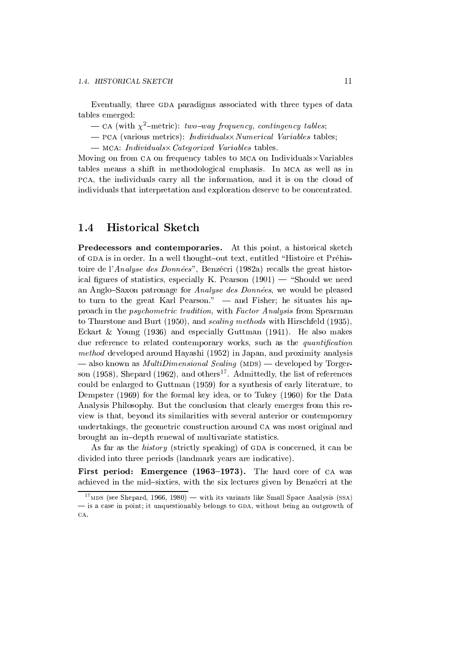## **Historical Sketch**  $1.4$

**Predecessors and contemporaries.** At this point, a historical sketch of GDA is in order. In a well thought-out text, entitled "Histoire et Préhistoire de l'Analyse des Données", Benzécri (1982a) recalls the great historical figures of statistics, especially K. Pearson  $(1901)$  — "Should we need an Anglo-Saxon patronage for *Analyse des Données*, we would be pleased to turn to the great Karl Pearson."  $-$  and Fisher; he situates his approach in the *psychometric tradition*, with *Factor Analysis* from Spearman to Thurstone and Burt (1950), and *scaling methods* with Hirschfeld (1935), Eckart & Young  $(1936)$  and especially Guttman  $(1941)$ . He also makes due reference to related contemporary works, such as the quantification *method* developed around Hayashi (1952) in Japan, and proximity analysis  $-$  also known as *MultiDimensional Scaling* (MDS)  $-$  developed by Torgerson (1958), Shepard (1962), and others<sup>17</sup>. Admittedly, the list of references could be enlarged to Guttman (1959) for a synthesis of early literature, to Dempster (1969) for the formal key idea, or to Tukey (1960) for the Data Analysis Philosophy. But the conclusion that clearly emerges from this review is that, beyond its similarities with several anterior or contemporary undertakings, the geometric construction around CA was most original and brought an in-depth renewal of multivariate statistics.

As far as the *history* (strictly speaking) of GDA is concerned, it can be divided into three periods (landmark years are indicative).

First period: Emergence (1963–1973). The hard core of CA was achieved in the mid-sixties, with the six lectures given by Benzécri at the

 $17$  MDS (see Shepard. 1966, 1980) — with its variants like Small Space Analysis (SSA) - is a case in point; it unquestionably belongs to GDA, without being an outgrowth of CA.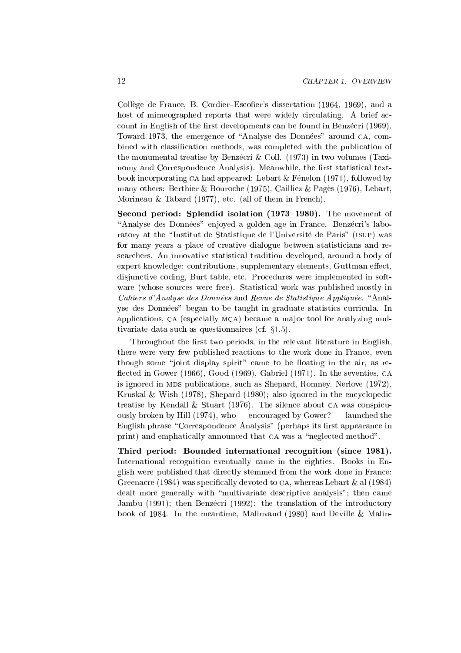Collège de France, B. Cordier–Escofier's dissertation (1964, 1969), and a host of mimeographed reports that were widely circulating. A brief account in English of the first developments can be found in Benzécri (1969). Toward 1973, the emergence of "Analyse des Données" around CA, combined with classification methods, was completed with the publication of the monumental treatise by Benzécri & Coll. (1973) in two volumes (Taxinomy and Correspondence Analysis). Meanwhile, the first statistical textbook incorporating CA had appeared: Lebart & Fénelon (1971), followed by many others: Berthier & Bouroche (1975), Cailliez & Pagès (1976), Lebart, Morineau & Tabard (1977), etc. (all of them in French).

Second period: Splendid isolation (1973–1980). The movement of "Analyse des Données" enjoyed a golden age in France. Benzécri's laboratory at the "Institut de Statistique de l'Université de Paris" (ISUP) was for many years a place of creative dialogue between statisticians and researchers. An innovative statistical tradition developed, around a body of expert knowledge: contributions, supplementary elements, Guttman effect, disjunctive coding, Burt table, etc. Procedures were implemented in software (whose sources were free). Statistical work was published mostly in Cahiers d'Analyse des Données and Revue de Statistique Appliquée. "Analyse des Données" began to be taught in graduate statistics curricula. In applications, CA (especially MCA) became a major tool for analyzing multivariate data such as questionnaires (cf.  $\S 1.5$ ).

Throughout the first two periods, in the relevant literature in English, there were very few published reactions to the work done in France, even though some "joint display spirit" came to be floating in the air, as reflected in Gower (1966), Good (1969), Gabriel (1971). In the seventies, CA is ignored in MDS publications, such as Shepard, Romney, Nerlove (1972). Kruskal & Wish  $(1978)$ . Shepard  $(1980)$ ; also ignored in the encyclopedic treatise by Kendall & Stuart (1976). The silence about CA was conspicuously broken by Hill  $(1974)$ , who — encouraged by Gower? — launched the English phrase "Correspondence Analysis" (perhaps its first appearance in print) and emphatically announced that CA was a "neglected method".

Third period: Bounded international recognition (since 1981). International recognition eventually came in the eighties. Books in English were published that directly stemmed from the work done in France: Greenacre (1984) was specifically devoted to CA, whereas Lebart  $\&$  al (1984) dealt more generally with "multivariate descriptive analysis"; then came Jambu (1991); then Benzécri (1992): the translation of the introductory book of 1984. In the meantime, Malinvaud (1980) and Deville & Malin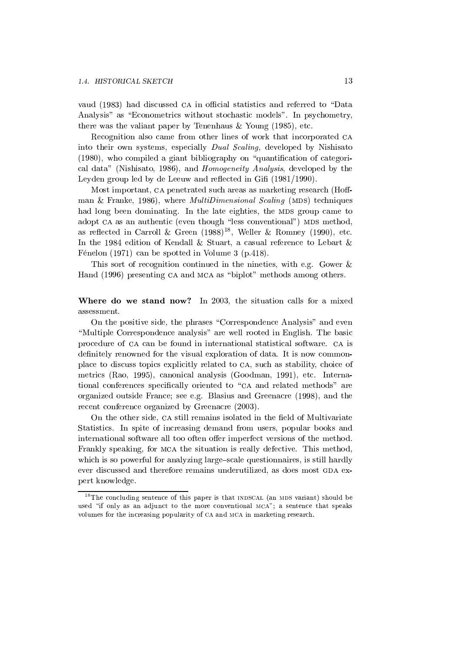vaud (1983) had discussed CA in official statistics and referred to "Data Analysis" as "Econometrics without stochastic models". In psychometry, there was the valiant paper by Tenenhaus  $&$  Young (1985), etc.

Recognition also came from other lines of work that incorporated CA into their own systems, especially *Dual Scaling*, developed by Nishisato (1980), who compiled a giant bibliography on "quantification of categorical data" (Nishisato, 1986), and *Homogeneity Analysis*, developed by the Leyden group led by de Leeuw and reflected in Gifi (1981/1990).

Most important, CA penetrated such areas as marketing research (Hoffman & Franke, 1986), where *MultiDimensional Scaling* (MDS) techniques had long been dominating. In the late eighties, the MDS group came to adopt CA as an authentic (even though "less conventional") MDS method, as reflected in Carroll & Green  $(1988)^{18}$ , Weller & Romney (1990), etc. In the 1984 edition of Kendall & Stuart, a casual reference to Lebart & Fénelon (1971) can be spotted in Volume 3 (p.418).

This sort of recognition continued in the nineties, with e.g. Gower & Hand (1996) presenting CA and MCA as "biplot" methods among others.

Where do we stand now? In 2003, the situation calls for a mixed assessment.

On the positive side, the phrases "Correspondence Analysis" and even "Multiple Correspondence analysis" are well rooted in English. The basic procedure of CA can be found in international statistical software. CA is definitely renowned for the visual exploration of data. It is now commonplace to discuss topics explicitly related to CA, such as stability, choice of metrics (Rao, 1995), canonical analysis (Goodman, 1991), etc. International conferences specifically oriented to "CA and related methods" are organized outside France; see e.g. Blasius and Greenacre (1998), and the recent conference organized by Greenacre (2003).

On the other side, CA still remains isolated in the field of Multivariate Statistics. In spite of increasing demand from users, popular books and international software all too often offer imperfect versions of the method. Frankly speaking, for MCA the situation is really defective. This method, which is so powerful for analyzing large-scale questionnaires, is still hardly ever discussed and therefore remains underutilized, as does most GDA expert knowledge.

 $18$ The concluding sentence of this paper is that INDSCAL (an MDS variant) should be used "if only as an adjunct to the more conventional MCA"; a sentence that speaks volumes for the increasing popularity of CA and MCA in marketing research.